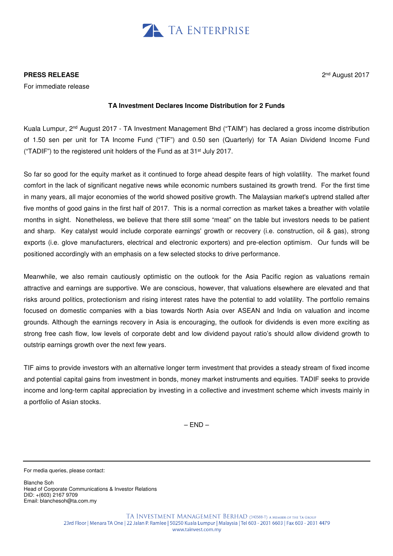

# **PRESS RELEASE**

For immediate release

## 2 nd August 2017

# **TA Investment Declares Income Distribution for 2 Funds**

Kuala Lumpur, 2nd August 2017 - TA Investment Management Bhd ("TAIM") has declared a gross income distribution of 1.50 sen per unit for TA Income Fund ("TIF") and 0.50 sen (Quarterly) for TA Asian Dividend Income Fund ("TADIF") to the registered unit holders of the Fund as at 31<sup>st</sup> July 2017.

So far so good for the equity market as it continued to forge ahead despite fears of high volatility. The market found comfort in the lack of significant negative news while economic numbers sustained its growth trend. For the first time in many years, all major economies of the world showed positive growth. The Malaysian market's uptrend stalled after five months of good gains in the first half of 2017. This is a normal correction as market takes a breather with volatile months in sight. Nonetheless, we believe that there still some "meat" on the table but investors needs to be patient and sharp. Key catalyst would include corporate earnings' growth or recovery (i.e. construction, oil & gas), strong exports (i.e. glove manufacturers, electrical and electronic exporters) and pre-election optimism. Our funds will be positioned accordingly with an emphasis on a few selected stocks to drive performance.

Meanwhile, we also remain cautiously optimistic on the outlook for the Asia Pacific region as valuations remain attractive and earnings are supportive. We are conscious, however, that valuations elsewhere are elevated and that risks around politics, protectionism and rising interest rates have the potential to add volatility. The portfolio remains focused on domestic companies with a bias towards North Asia over ASEAN and India on valuation and income grounds. Although the earnings recovery in Asia is encouraging, the outlook for dividends is even more exciting as strong free cash flow, low levels of corporate debt and low dividend payout ratio's should allow dividend growth to outstrip earnings growth over the next few years.

TIF aims to provide investors with an alternative longer term investment that provides a steady stream of fixed income and potential capital gains from investment in bonds, money market instruments and equities. TADIF seeks to provide income and long-term capital appreciation by investing in a collective and investment scheme which invests mainly in a portfolio of Asian stocks.

 $-$  FND  $-$ 

For media queries, please contact:

Blanche Soh Head of Corporate Communications & Investor Relations DID: +(603) 2167 9709 Email: blanchesoh@ta.com.my